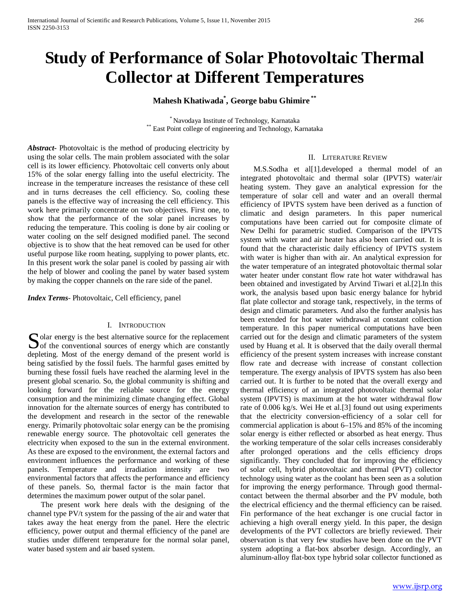# **Study of Performance of Solar Photovoltaic Thermal Collector at Different Temperatures**

# **Mahesh Khatiwada\* , George babu Ghimire \*\***

\* Navodaya Institute of Technology, Karnataka \*\* East Point college of engineering and Technology, Karnataka

*Abstract***-** Photovoltaic is the method of producing electricity by using the solar cells. The main problem associated with the solar cell is its lower efficiency. Photovoltaic cell converts only about 15% of the solar energy falling into the useful electricity. The increase in the temperature increases the resistance of these cell and in turns decreases the cell efficiency. So, cooling these panels is the effective way of increasing the cell efficiency. This work here primarily concentrate on two objectives. First one, to show that the performance of the solar panel increases by reducing the temperature. This cooling is done by air cooling or water cooling on the self designed modified panel. The second objective is to show that the heat removed can be used for other useful purpose like room heating, supplying to power plants, etc. In this present work the solar panel is cooled by passing air with the help of blower and cooling the panel by water based system by making the copper channels on the rare side of the panel.

*Index Terms*- Photovoltaic, Cell efficiency, panel

#### I. INTRODUCTION

olar energy is the best alternative source for the replacement  $\sum$  olar energy is the best alternative source for the replacement of the conventional sources of energy which are constantly and the contract of the contract of the constant depleting. Most of the energy demand of the present world is being satisfied by the fossil fuels. The harmful gases emitted by burning these fossil fuels have reached the alarming level in the present global scenario. So, the global community is shifting and looking forward for the reliable source for the energy consumption and the minimizing climate changing effect. Global innovation for the alternate sources of energy has contributed to the development and research in the sector of the renewable energy. Primarily photovoltaic solar energy can be the promising renewable energy source. The photovoltaic cell generates the electricity when exposed to the sun in the external environment. As these are exposed to the environment, the external factors and environment influences the performance and working of these panels. Temperature and irradiation intensity are two environmental factors that affects the performance and efficiency of these panels. So, thermal factor is the main factor that determines the maximum power output of the solar panel.

 The present work here deals with the designing of the channel type PV/t system for the passing of the air and water that takes away the heat energy from the panel. Here the electric efficiency, power output and thermal efficiency of the panel are studies under different temperature for the normal solar panel, water based system and air based system.

#### II. LITERATURE REVIEW

 M.S.Sodha et al[1].developed a thermal model of an integrated photovoltaic and thermal solar (IPVTS) water/air heating system. They gave an analytical expression for the temperature of solar cell and water and an overall thermal efficiency of IPVTS system have been derived as a function of climatic and design parameters. In this paper numerical computations have been carried out for composite climate of New Delhi for parametric studied. Comparison of the IPVTS system with water and air heater has also been carried out. It is found that the characteristic daily efficiency of IPVTS system with water is higher than with air. An analytical expression for the water temperature of an integrated photovoltaic thermal solar water heater under constant flow rate hot water withdrawal has been obtained and investigated by Arvind Tiwari et al.[2].In this work, the analysis based upon basic energy balance for hybrid flat plate collector and storage tank, respectively, in the terms of design and climatic parameters. And also the further analysis has been extended for hot water withdrawal at constant collection temperature. In this paper numerical computations have been carried out for the design and climatic parameters of the system used by Huang et al. It is observed that the daily overall thermal efficiency of the present system increases with increase constant flow rate and decrease with increase of constant collection temperature. The exergy analysis of IPVTS system has also been carried out. It is further to be noted that the overall exergy and thermal efficiency of an integrated photovoltaic thermal solar system (IPVTS) is maximum at the hot water withdrawal flow rate of 0.006 kg/s. Wei He et al.[3] found out using experiments that the electricity conversion-efficiency of a solar cell for commercial application is about 6–15% and 85% of the incoming solar energy is either reflected or absorbed as heat energy. Thus the working temperature of the solar cells increases considerably after prolonged operations and the cells efficiency drops significantly. They concluded that for improving the efficiency of solar cell, hybrid photovoltaic and thermal (PVT) collector technology using water as the coolant has been seen as a solution for improving the energy performance. Through good thermalcontact between the thermal absorber and the PV module, both the electrical efficiency and the thermal efficiency can be raised. Fin performance of the heat exchanger is one crucial factor in achieving a high overall energy yield. In this paper, the design developments of the PVT collectors are briefly reviewed. Their observation is that very few studies have been done on the PVT system adopting a flat-box absorber design. Accordingly, an aluminum-alloy flat-box type hybrid solar collector functioned as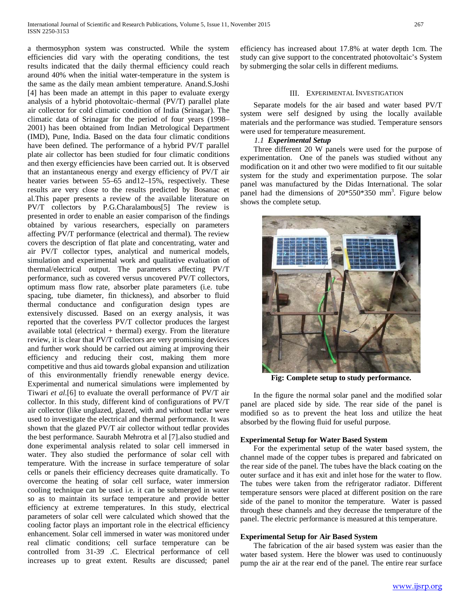a thermosyphon system was constructed. While the system efficiencies did vary with the operating conditions, the test results indicated that the daily thermal efficiency could reach around 40% when the initial water-temperature in the system is the same as the daily mean ambient temperature. Anand.S.Joshi [4] has been made an attempt in this paper to evaluate exergy analysis of a hybrid photovoltaic–thermal (PV/T) parallel plate air collector for cold climatic condition of India (Srinagar). The climatic data of Srinagar for the period of four years (1998– 2001) has been obtained from Indian Metrological Department (IMD), Pune, India. Based on the data four climatic conditions have been defined. The performance of a hybrid PV/T parallel plate air collector has been studied for four climatic conditions and then exergy efficiencies have been carried out. It is observed that an instantaneous energy and exergy efficiency of PV/T air heater varies between 55–65 and12–15%, respectively. These results are very close to the results predicted by Bosanac et al.This paper presents a review of the available literature on PV/T collectors by P.G.Charalambous[5] The review is presented in order to enable an easier comparison of the findings obtained by various researchers, especially on parameters affecting PV/T performance (electrical and thermal). The review covers the description of flat plate and concentrating, water and air PV/T collector types, analytical and numerical models, simulation and experimental work and qualitative evaluation of thermal/electrical output. The parameters affecting PV/T performance, such as covered versus uncovered PV/T collectors, optimum mass flow rate, absorber plate parameters (i.e. tube spacing, tube diameter, fin thickness), and absorber to fluid thermal conductance and configuration design types are extensively discussed. Based on an exergy analysis, it was reported that the coverless PV/T collector produces the largest available total (electrical  $+$  thermal) exergy. From the literature review, it is clear that PV/T collectors are very promising devices and further work should be carried out aiming at improving their efficiency and reducing their cost, making them more competitive and thus aid towards global expansion and utilization of this environmentally friendly renewable energy device. Experimental and numerical simulations were implemented by Tiwari *et al*.[6] to evaluate the overall performance of PV/T air collector. In this study, different kind of configurations of PV/T air collector (like unglazed, glazed, with and without tedlar were used to investigate the electrical and thermal performance. It was shown that the glazed PV/T air collector without tedlar provides the best performance. Saurabh Mehrotra et al [7].also studied and done experimental analysis related to solar cell immersed in water. They also studied the performance of solar cell with temperature. With the increase in surface temperature of solar cells or panels their efficiency decreases quite dramatically. To overcome the heating of solar cell surface, water immersion cooling technique can be used i.e. it can be submerged in water so as to maintain its surface temperature and provide better efficiency at extreme temperatures. In this study, electrical parameters of solar cell were calculated which showed that the cooling factor plays an important role in the electrical efficiency enhancement. Solar cell immersed in water was monitored under real climatic conditions; cell surface temperature can be controlled from 31-39 .C. Electrical performance of cell increases up to great extent. Results are discussed; panel efficiency has increased about 17.8% at water depth 1cm. The study can give support to the concentrated photovoltaic's System by submerging the solar cells in different mediums.

#### III. EXPERIMENTAL INVESTIGATION

 Separate models for the air based and water based PV/T system were self designed by using the locally available materials and the performance was studied. Temperature sensors were used for temperature measurement.

## *1.1 Experimental Setup*

 Three different 20 W panels were used for the purpose of experimentation. One of the panels was studied without any modification on it and other two were modified to fit our suitable system for the study and experimentation purpose. The solar panel was manufactured by the Didas International. The solar panel had the dimensions of  $20*550*350$  mm<sup>3</sup>. Figure below shows the complete setup.



**Fig: Complete setup to study performance.**

 In the figure the normal solar panel and the modified solar panel are placed side by side. The rear side of the panel is modified so as to prevent the heat loss and utilize the heat absorbed by the flowing fluid for useful purpose.

### **Experimental Setup for Water Based System**

 For the experimental setup of the water based system, the channel made of the copper tubes is prepared and fabricated on the rear side of the panel. The tubes have the black coating on the outer surface and it has exit and inlet hose for the water to flow. The tubes were taken from the refrigerator radiator. Different temperature sensors were placed at different position on the rare side of the panel to monitor the temperature. Water is passed through these channels and they decrease the temperature of the panel. The electric performance is measured at this temperature.

#### **Experimental Setup for Air Based System**

 The fabrication of the air based system was easier than the water based system. Here the blower was used to continuously pump the air at the rear end of the panel. The entire rear surface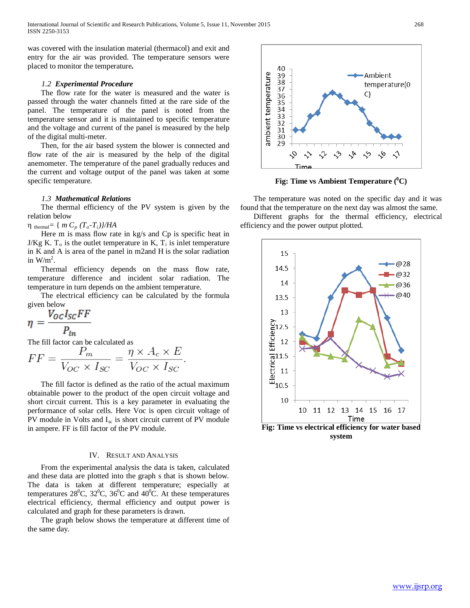was covered with the insulation material (thermacol) and exit and entry for the air was provided. The temperature sensors were placed to monitor the temperature**.**

#### *1.2 Experimental Procedure*

 The flow rate for the water is measured and the water is passed through the water channels fitted at the rare side of the panel. The temperature of the panel is noted from the temperature sensor and it is maintained to specific temperature and the voltage and current of the panel is measured by the help of the digital multi-meter.

 Then, for the air based system the blower is connected and flow rate of the air is measured by the help of the digital anemometer. The temperature of the panel gradually reduces and the current and voltage output of the panel was taken at some specific temperature.

#### *1.3 Mathematical Relations*

 The thermal efficiency of the PV system is given by the relation below

 $\eta$ <sub>thermal</sub>= { *m C<sub>p</sub>*  $(T_o-T_i)/H_A$ 

Here m is mass flow rate in kg/s and Cp is specific heat in J/Kg K.  $T_0$  is the outlet temperature in K,  $T_i$  is inlet temperature in K and A is area of the panel in m2and H is the solar radiation in  $W/m^2$ .

 Thermal efficiency depends on the mass flow rate, temperature difference and incident solar radiation. The temperature in turn depends on the ambient temperature.

 The electrical efficiency can be calculated by the formula given below

$$
\eta = \frac{V_{OC}I_{SC}FF}{P_{in}}
$$

The fill factor can be calculated as

$$
FF = \frac{P_m}{V_{OC} \times I_{SC}} = \frac{\eta \times A_c \times E}{V_{OC} \times I_{SC}}
$$

 The fill factor is defined as the ratio of the actual maximum obtainable power to the product of the open circuit voltage and short circuit current. This is a key parameter in evaluating the performance of solar cells. Here Voc is open circuit voltage of PV module in Volts and  $I_{sc}$  is short circuit current of PV module in ampere. FF is fill factor of the PV module.

#### IV. RESULT AND ANALYSIS

 From the experimental analysis the data is taken, calculated and these data are plotted into the graph s that is shown below. The data is taken at different temperature; especially at temperatures  $28^{\circ}$ C,  $32^{\circ}$ C,  $36^{\circ}$ C and  $40^{\circ}$ C. At these temperatures electrical efficiency, thermal efficiency and output power is calculated and graph for these parameters is drawn.

 The graph below shows the temperature at different time of the same day.



**Fig: Time vs Ambient Temperature (0 C)**

 The temperature was noted on the specific day and it was found that the temperature on the next day was almost the same.

 Different graphs for the thermal efficiency, electrical efficiency and the power output plotted.



**Fig: Time vs electrical efficiency for water based system**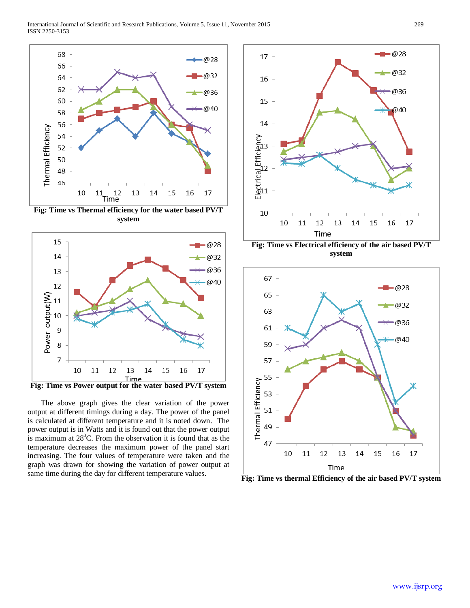

**Fig: Time vs Thermal efficiency for the water based PV/T system**



 The above graph gives the clear variation of the power output at different timings during a day. The power of the panel is calculated at different temperature and it is noted down. The power output is in Watts and it is found out that the power output is maximum at  $28^{\circ}$ C. From the observation it is found that as the temperature decreases the maximum power of the panel start increasing. The four values of temperature were taken and the graph was drawn for showing the variation of power output at same time during the day for different temperature values.







**Fig: Time vs thermal Efficiency of the air based PV/T system**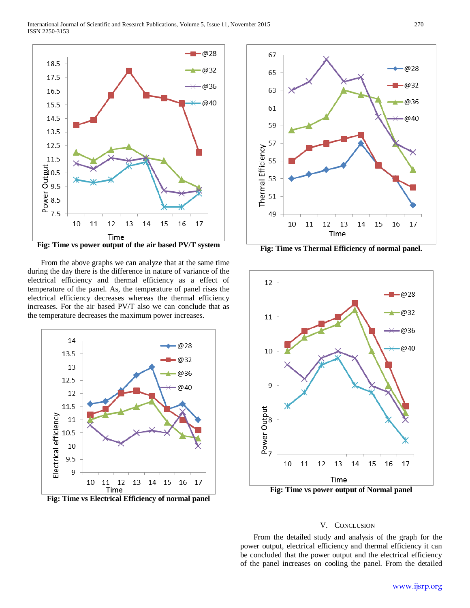

 From the above graphs we can analyze that at the same time during the day there is the difference in nature of variance of the electrical efficiency and thermal efficiency as a effect of temperature of the panel. As, the temperature of panel rises the electrical efficiency decreases whereas the thermal efficiency increases. For the air based PV/T also we can conclude that as the temperature decreases the maximum power increases.



**Fig: Time vs Electrical Efficiency of normal panel**



**Fig: Time vs Thermal Efficiency of normal panel.**



**Fig: Time vs power output of Normal panel**

#### V. CONCLUSION

 From the detailed study and analysis of the graph for the power output, electrical efficiency and thermal efficiency it can be concluded that the power output and the electrical efficiency of the panel increases on cooling the panel. From the detailed